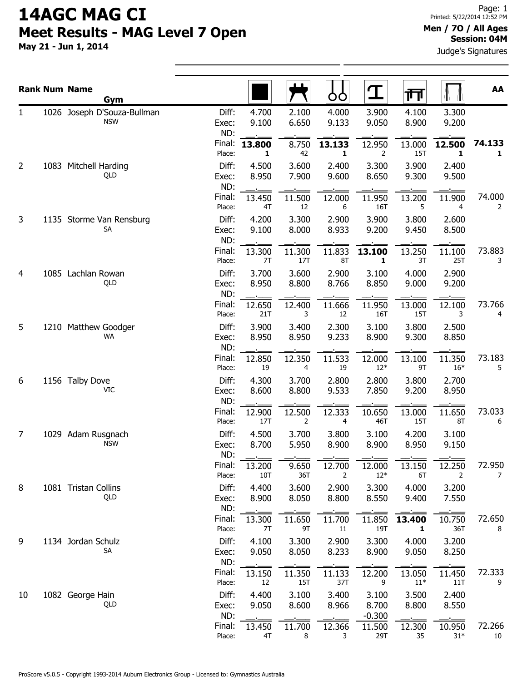May 21 - Jun 1, 2014

#### Men / 7O / All Ages Session: 04M

Judge's Signatures

|    | <b>Rank Num Name</b><br>Gym               |                       |                |                      | OO             | ${\bf T}$                  | 帀                      |                 | AA           |
|----|-------------------------------------------|-----------------------|----------------|----------------------|----------------|----------------------------|------------------------|-----------------|--------------|
| 1  | 1026 Joseph D'Souza-Bullman<br><b>NSW</b> | Diff:<br>Exec:<br>ND: | 4.700<br>9.100 | 2.100<br>6.650       | 4.000<br>9.133 | 3.900<br>9.050             | 4.100<br>8.900         | 3.300<br>9.200  |              |
|    |                                           | Final:<br>Place:      | 13.800<br>1    | 8.750<br>42          | 13.133<br>1    | 12.950<br>2                | 13.000<br>15T          | 12.500<br>1     | 74.133<br>1  |
| 2  | 1083 Mitchell Harding<br>QLD              | Diff:<br>Exec:<br>ND: | 4.500<br>8.950 | 3.600<br>7.900       | 2.400<br>9.600 | 3.300<br>8.650             | 3.900<br>9.300         | 2.400<br>9.500  |              |
|    |                                           | Final:<br>Place:      | 13.450<br>4T   | 11.500<br>12         | 12.000<br>6    | 11.950<br>16T              | 13.200<br>5            | 11.900<br>4     | 74.000<br>2  |
| 3  | 1135 Storme Van Rensburg<br>SA            | Diff:<br>Exec:<br>ND: | 4.200<br>9.100 | 3.300<br>8.000       | 2.900<br>8.933 | 3.900<br>9.200             | 3.800<br>9.450         | 2.600<br>8.500  |              |
|    |                                           | Final:<br>Place:      | 13.300<br>7T   | 11.300<br>17T        | 11.833<br>8T   | 13.100<br>1                | 13.250<br>3T           | 11.100<br>25T   | 73.883<br>3  |
| 4  | 1085 Lachlan Rowan<br>QLD                 | Diff:<br>Exec:<br>ND: | 3.700<br>8.950 | 3.600<br>8.800       | 2.900<br>8.766 | 3.100<br>8.850             | 4.000<br>9.000         | 2.900<br>9.200  |              |
|    |                                           | Final:<br>Place:      | 12.650<br>21T  | 12.400<br>3          | 11.666<br>12   | 11.950<br>16T              | 13.000<br><b>15T</b>   | 12.100<br>3     | 73.766<br>4  |
| 5  | 1210 Matthew Goodger<br><b>WA</b>         | Diff:<br>Exec:<br>ND: | 3.900<br>8.950 | 3.400<br>8.950       | 2.300<br>9.233 | 3.100<br>8.900             | 3.800<br>9.300         | 2.500<br>8.850  |              |
|    |                                           | Final:<br>Place:      | 12.850<br>19   | 12.350<br>4          | 11.533<br>19   | 12.000<br>$12*$            | 13.100<br>9T           | 11.350<br>$16*$ | 73.183<br>5  |
| 6  | 1156 Talby Dove<br>VIC                    | Diff:<br>Exec:<br>ND: | 4.300<br>8.600 | 3.700<br>8.800       | 2.800<br>9.533 | 2.800<br>7.850             | 3.800<br>9.200         | 2.700<br>8.950  |              |
|    |                                           | Final:<br>Place:      | 12.900<br>17T  | 12.500<br>2          | 12.333<br>4    | 10.650<br>46T              | 13.000<br><b>15T</b>   | 11.650<br>8T    | 73.033<br>6  |
| 7  | 1029 Adam Rusgnach<br><b>NSW</b>          | Diff:<br>Exec:<br>ND: | 4.500<br>8.700 | 3.700<br>5.950       | 3.800<br>8.900 | 3.100<br>8.900             | 4.200<br>8.950         | 3.100<br>9.150  |              |
|    |                                           | Final:<br>Place:      | 13.200<br>10T  | 9.650<br>36T         | 12.700<br>2    | 12.000<br>$12*$            | 13.150<br>6T           | 12.250<br>2     | 72.950<br>7  |
| 8  | 1081 Tristan Collins<br>QLD               | Diff:<br>Exec:<br>ND: | 4.400<br>8.900 | 3.600<br>8.050       | 2.900<br>8.800 | 3.300<br>8.550             | 4.000<br>9.400         | 3.200<br>7.550  |              |
|    |                                           | Final:<br>Place:      | 13.300<br>7T   | 11.650<br>9T         | 11.700<br>11   | 11.850<br>19T              | 13.400<br>$\mathbf{1}$ | 10.750<br>36T   | 72.650<br>8  |
| 9  | 1134 Jordan Schulz<br>SA                  | Diff:<br>Exec:<br>ND: | 4.100<br>9.050 | 3.300<br>8.050       | 2.900<br>8.233 | 3.300<br>8.900             | 4.000<br>9.050         | 3.200<br>8.250  |              |
|    |                                           | Final:<br>Place:      | 13.150<br>12   | 11.350<br><b>15T</b> | 11.133<br>37T  | 12.200<br>9                | 13.050<br>$11*$        | 11.450<br>11T   | 72.333<br>9  |
| 10 | 1082 George Hain<br>QLD                   | Diff:<br>Exec:<br>ND: | 4.400<br>9.050 | 3.100<br>8.600       | 3.400<br>8.966 | 3.100<br>8.700<br>$-0.300$ | 3.500<br>8.800         | 2.400<br>8.550  |              |
|    |                                           | Final:<br>Place:      | 13.450<br>4T   | 11.700<br>8          | 12.366<br>3    | 11.500<br>29T              | 12.300<br>35           | 10.950<br>$31*$ | 72.266<br>10 |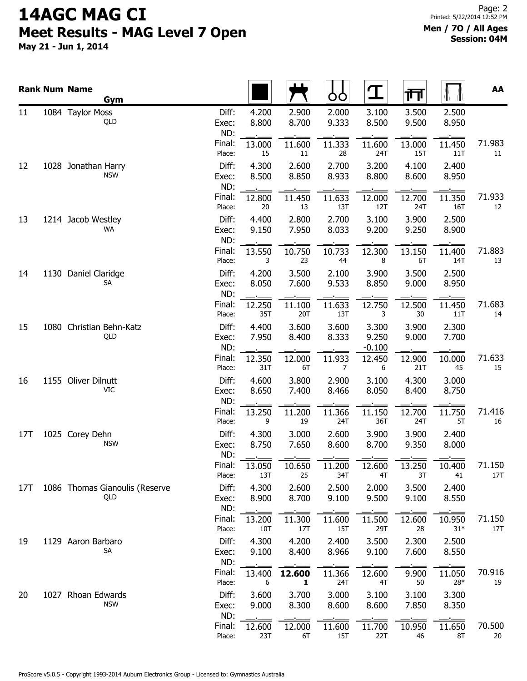|     | <b>Rank Num Name</b><br>Gym           |                       |                |                | OO                       | $\mathbf T$                | गा                   |                 | AA            |
|-----|---------------------------------------|-----------------------|----------------|----------------|--------------------------|----------------------------|----------------------|-----------------|---------------|
| 11  | 1084 Taylor Moss<br>QLD               | Diff:<br>Exec:<br>ND: | 4.200<br>8.800 | 2.900<br>8.700 | 2.000<br>9.333           | 3.100<br>8.500             | 3.500<br>9.500       | 2.500<br>8.950  |               |
|     |                                       | Final:<br>Place:      | 13.000<br>15   | 11.600<br>11   | 11.333<br>28             | 11.600<br>24T              | 13.000<br><b>15T</b> | 11.450<br>11T   | 71.983<br>11  |
| 12  | 1028 Jonathan Harry<br><b>NSW</b>     | Diff:<br>Exec:<br>ND: | 4.300<br>8.500 | 2.600<br>8.850 | 2.700<br>8.933           | 3.200<br>8.800             | 4.100<br>8.600       | 2.400<br>8.950  |               |
|     |                                       | Final:<br>Place:      | 12.800<br>20   | 11.450<br>13   | 11.633<br>13T            | 12.000<br>12T              | 12.700<br>24T        | 11.350<br>16T   | 71.933<br>12  |
| 13  | 1214 Jacob Westley<br>WA              | Diff:<br>Exec:<br>ND: | 4.400<br>9.150 | 2.800<br>7.950 | 2.700<br>8.033           | 3.100<br>9.200             | 3.900<br>9.250       | 2.500<br>8.900  |               |
|     |                                       | Final:<br>Place:      | 13.550<br>3    | 10.750<br>23   | 10.733<br>44             | 12.300<br>8                | 13.150<br>6T         | 11.400<br>14T   | 71.883<br>13  |
| 14  | 1130 Daniel Claridge<br>SA            | Diff:<br>Exec:<br>ND: | 4.200<br>8.050 | 3.500<br>7.600 | 2.100<br>9.533           | 3.900<br>8.850             | 3.500<br>9.000       | 2.500<br>8.950  |               |
|     |                                       | Final:<br>Place:      | 12.250<br>35T  | 11.100<br>20T  | 11.633<br>13T            | 12.750<br>3                | 12.500<br>30         | 11.450<br>11T   | 71.683<br>14  |
| 15  | 1080 Christian Behn-Katz<br>QLD       | Diff:<br>Exec:<br>ND: | 4.400<br>7.950 | 3.600<br>8.400 | 3.600<br>8.333           | 3.300<br>9.250<br>$-0.100$ | 3.900<br>9.000       | 2.300<br>7.700  |               |
|     |                                       | Final:<br>Place:      | 12.350<br>31T  | 12.000<br>6T   | 11.933<br>$\overline{7}$ | 12.450<br>6                | 12.900<br>21T        | 10.000<br>45    | 71.633<br>15  |
| 16  | 1155 Oliver Dilnutt<br>VIC            | Diff:<br>Exec:<br>ND: | 4.600<br>8.650 | 3.800<br>7.400 | 2.900<br>8.466           | 3.100<br>8.050             | 4.300<br>8.400       | 3.000<br>8.750  |               |
|     |                                       | Final:<br>Place:      | 13.250<br>9    | 11.200<br>19   | 11.366<br>24T            | 11.150<br>36T              | 12.700<br>24T        | 11.750<br>5T    | 71.416<br>16  |
| 17T | 1025 Corey Dehn<br><b>NSW</b>         | Diff:<br>Exec:<br>ND: | 4.300<br>8.750 | 3.000<br>7.650 | 2.600<br>8.600           | 3.900<br>8.700             | 3.900<br>9.350       | 2.400<br>8.000  |               |
|     |                                       | Final:<br>Place:      | 13.050<br>13T  | 10.650<br>25   | 11.200<br>34T            | 12.600<br>4T               | 13.250<br>3T         | 10.400<br>41    | 71.150<br>17T |
| 17T | 1086 Thomas Gianoulis (Reserve<br>QLD | Diff:<br>Exec:<br>ND: | 4.300<br>8.900 | 2.600<br>8.700 | 2.500<br>9.100           | 2.000<br>9.500             | 3.500<br>9.100       | 2.400<br>8.550  |               |
|     |                                       | Final:<br>Place:      | 13.200<br>10T  | 11.300<br>17T  | 11.600<br>15T            | 11.500<br>29T              | 12.600<br>28         | 10.950<br>$31*$ | 71.150<br>17T |
| 19  | 1129 Aaron Barbaro<br><b>SA</b>       | Diff:<br>Exec:<br>ND: | 4.300<br>9.100 | 4.200<br>8.400 | 2.400<br>8.966           | 3.500<br>9.100             | 2.300<br>7.600       | 2.500<br>8.550  |               |
|     |                                       | Final:<br>Place:      | 13.400<br>6    | 12.600<br>1    | 11.366<br>24T            | 12.600<br>4T               | 9.900<br>50          | 11.050<br>28*   | 70.916<br>19  |
| 20  | 1027 Rhoan Edwards<br><b>NSW</b>      | Diff:<br>Exec:<br>ND: | 3.600<br>9.000 | 3.700<br>8.300 | 3.000<br>8.600           | 3.100<br>8.600             | 3.100<br>7.850       | 3.300<br>8.350  |               |
|     |                                       | Final:<br>Place:      | 12.600<br>23T  | 12.000<br>6T   | 11.600<br><b>15T</b>     | 11.700<br>22T              | 10.950<br>46         | 11.650<br>8T    | 70.500<br>20  |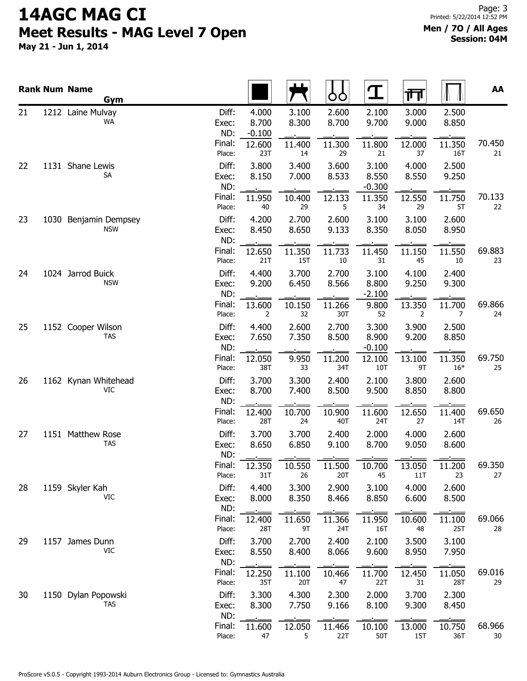|    | <b>Rank Num Name</b><br>Gym         |                       |                            |                      | OO               | $\mathbf T$                | गा             |                         | AA           |
|----|-------------------------------------|-----------------------|----------------------------|----------------------|------------------|----------------------------|----------------|-------------------------|--------------|
| 21 | 1212 Laine Mulvay<br>WA             | Diff:<br>Exec:<br>ND: | 4.000<br>8.700<br>$-0.100$ | 3.100<br>8.300       | 2.600<br>8.700   | 2.100<br>9.700             | 3.000<br>9.000 | 2.500<br>8.850          |              |
|    |                                     | Final:<br>Place:      | 12.600<br>23T              | 11.400<br>14         | 11.300<br>29     | 11.800<br>21               | 12.000<br>37   | 11.350<br>16T           | 70.450<br>21 |
| 22 | 1131 Shane Lewis<br><b>SA</b>       | Diff:<br>Exec:<br>ND: | 3.800<br>8.150             | 3.400<br>7.000       | 3.600<br>8.533   | 3.100<br>8.550<br>$-0.300$ | 4.000<br>8.550 | 2.500<br>9.250          |              |
|    |                                     | Final:<br>Place:      | 11.950<br>40               | 10.400<br>29         | 12.133<br>5      | 11.350<br>34               | 12.550<br>29   | 11.750<br>5T            | 70.133<br>22 |
| 23 | 1030 Benjamin Dempsey<br><b>NSW</b> | Diff:<br>Exec:<br>ND: | 4.200<br>8.450             | 2.700<br>8.650       | 2.600<br>9.133   | 3.100<br>8.350             | 3.100<br>8.050 | 2.600<br>8.950          |              |
|    |                                     | Final:<br>Place:      | 12.650<br>21T              | 11.350<br><b>15T</b> | 11.733<br>$10\,$ | 11.450<br>31               | 11.150<br>45   | 11.550<br>10            | 69.883<br>23 |
| 24 | 1024 Jarrod Buick<br><b>NSW</b>     | Diff:<br>Exec:<br>ND: | 4.400<br>9.200             | 3.700<br>6.450       | 2.700<br>8.566   | 3.100<br>8.800<br>$-2.100$ | 4.100<br>9.250 | 2.400<br>9.300          |              |
|    |                                     | Final:<br>Place:      | 13.600<br>2                | 10.150<br>32         | 11.266<br>30T    | 9.800<br>52                | 13.350<br>2    | 11.700<br>7             | 69.866<br>24 |
| 25 | 1152 Cooper Wilson<br><b>TAS</b>    | Diff:<br>Exec:<br>ND: | 4.400<br>7.650             | 2.600<br>7.350       | 2.700<br>8.500   | 3.300<br>8.900<br>$-0.100$ | 3.900<br>9.200 | 2.500<br>8.850          |              |
|    |                                     | Final:<br>Place:      | 12.050<br>38T              | 9.950<br>33          | 11.200<br>34T    | 12.100<br>10T              | 13.100<br>9T   | 11.350<br>$16*$         | 69.750<br>25 |
| 26 | 1162 Kynan Whitehead<br><b>VIC</b>  | Diff:<br>Exec:<br>ND: | 3.700<br>8.700             | 3.300<br>7.400       | 2.400<br>8.500   | 2.100<br>9.500             | 3.800<br>8.850 | 2.600<br>8.800          |              |
|    |                                     | Final:<br>Place:      | 12.400<br>28T              | 10.700<br>24         | 10.900<br>40T    | 11.600<br>24T              | 12.650<br>27   | 11.400<br>14T           | 69.650<br>26 |
| 27 | 1151 Matthew Rose<br><b>TAS</b>     | Diff:<br>Exec:<br>ND: | 3.700<br>8.650             | 3.700<br>6.850       | 2.400<br>9.100   | 2.000<br>8.700             | 4.000<br>9.050 | 2.600<br>8.600          |              |
|    |                                     | Final:<br>Place:      | 12.350<br>31T              | 10.550<br>26         | 11.500<br>20T    | 10.700<br>45               | 13.050<br>11T  | 11.200<br>23            | 69.350<br>27 |
| 28 | 1159 Skyler Kah<br>VIC              | Diff:<br>Exec:<br>ND: | 4.400<br>8.000             | 3.300<br>8.350       | 2.900<br>8.466   | 3.100<br>8.850             | 4.000<br>6.600 | 2.600<br>8.500          |              |
|    |                                     | Final:<br>Place:      | 12.400<br>28T              | 11.650<br>9T         | 11.366<br>24T    | 11.950<br>16T              | 10.600<br>48   | $\sim$<br>11.100<br>25T | 69.066<br>28 |
| 29 | 1157 James Dunn<br>VIC              | Diff:<br>Exec:<br>ND: | 3.700<br>8.550             | 2.700<br>8.400       | 2.400<br>8.066   | 2.100<br>9.600             | 3.500<br>8.950 | 3.100<br>7.950          |              |
|    |                                     | Final:<br>Place:      | 12.250<br>35T              | 11.100<br>20T        | 10.466<br>47     | 11.700<br>22T              | 12.450<br>31   | 11.050<br>28T           | 69.016<br>29 |
| 30 | 1150 Dylan Popowski<br><b>TAS</b>   | Diff:<br>Exec:<br>ND: | 3.300<br>8.300             | 4.300<br>7.750       | 2.300<br>9.166   | 2.000<br>8.100             | 3.700<br>9.300 | 2.300<br>8.450          |              |
|    |                                     | Final:<br>Place:      | 11.600<br>47               | 12.050<br>5          | 11.466<br>22T    | 10.100<br>50T              | 13.000<br>15T  | 10.750<br>36T           | 68.966<br>30 |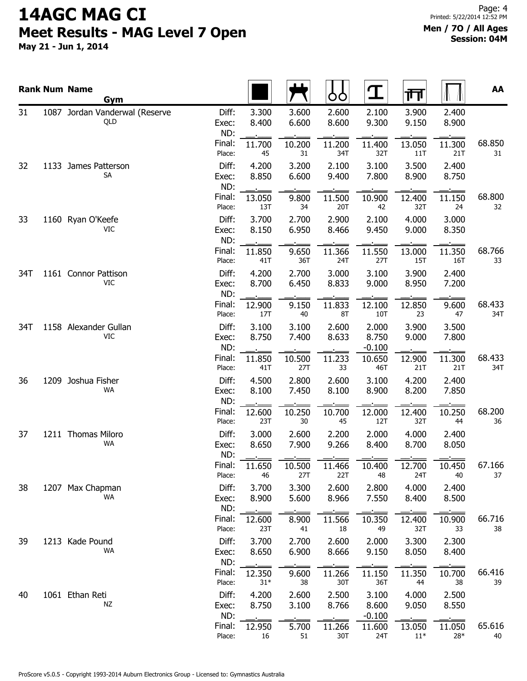|     | <b>Rank Num Name</b><br>Gym           |                       |                 |                | OO             |                            | गंग                  |                        | AA            |
|-----|---------------------------------------|-----------------------|-----------------|----------------|----------------|----------------------------|----------------------|------------------------|---------------|
| 31  | 1087 Jordan Vanderwal (Reserve<br>QLD | Diff:<br>Exec:<br>ND: | 3.300<br>8.400  | 3.600<br>6.600 | 2.600<br>8.600 | 2.100<br>9.300             | 3.900<br>9.150       | 2.400<br>8.900         |               |
|     |                                       | Final:<br>Place:      | 11.700<br>45    | 10.200<br>31   | 11.200<br>34T  | 11.400<br>32T              | 13.050<br>11T        | 11.300<br>21T          | 68.850<br>31  |
| 32  | 1133 James Patterson<br>SA            | Diff:<br>Exec:<br>ND: | 4.200<br>8.850  | 3.200<br>6.600 | 2.100<br>9.400 | 3.100<br>7.800             | 3.500<br>8.900       | 2.400<br>8.750         |               |
|     |                                       | Final:<br>Place:      | 13.050<br>13T   | 9.800<br>34    | 11.500<br>20T  | 10.900<br>42               | 12.400<br>32T        | 11.150<br>24           | 68.800<br>32  |
| 33  | 1160 Ryan O'Keefe<br><b>VIC</b>       | Diff:<br>Exec:<br>ND: | 3.700<br>8.150  | 2.700<br>6.950 | 2.900<br>8.466 | 2.100<br>9.450             | 4.000<br>9.000       | 3.000<br>8.350         |               |
|     |                                       | Final:<br>Place:      | 11.850<br>41T   | 9.650<br>36T   | 11.366<br>24T  | 11.550<br>27T              | 13.000<br><b>15T</b> | 11.350<br>16T          | 68.766<br>33  |
| 34T | 1161 Connor Pattison<br>VIC           | Diff:<br>Exec:<br>ND: | 4.200<br>8.700  | 2.700<br>6.450 | 3.000<br>8.833 | 3.100<br>9.000             | 3.900<br>8.950       | 2.400<br>7.200         |               |
|     |                                       | Final:<br>Place:      | 12.900<br>17T   | 9.150<br>40    | 11.833<br>8T   | 12.100<br>10T              | 12.850<br>23         | 9.600<br>47            | 68.433<br>34T |
| 34T | 1158 Alexander Gullan<br><b>VIC</b>   | Diff:<br>Exec:<br>ND: | 3.100<br>8.750  | 3.100<br>7.400 | 2.600<br>8.633 | 2.000<br>8.750<br>$-0.100$ | 3.900<br>9.000       | 3.500<br>7.800         |               |
|     |                                       | Final:<br>Place:      | 11.850<br>41T   | 10.500<br>27T  | 11.233<br>33   | 10.650<br>46T              | 12.900<br>21T        | 11.300<br>21T          | 68.433<br>34T |
| 36  | 1209 Joshua Fisher<br>WA              | Diff:<br>Exec:<br>ND: | 4.500<br>8.100  | 2.800<br>7.450 | 2.600<br>8.100 | 3.100<br>8.900             | 4.200<br>8.200       | 2.400<br>7.850         |               |
|     |                                       | Final:<br>Place:      | 12.600<br>23T   | 10.250<br>30   | 10.700<br>45   | 12.000<br>12T              | 12.400<br>32T        | 10.250<br>44           | 68.200<br>36  |
| 37  | 1211 Thomas Miloro<br>WA              | Diff:<br>Exec:<br>ND: | 3.000<br>8.650  | 2.600<br>7.900 | 2.200<br>9.266 | 2.000<br>8.400             | 4.000<br>8.700       | 2.400<br>8.050         |               |
|     |                                       | Final:<br>Place:      | 11.650<br>46    | 10.500<br>27T  | 11.466<br>22T  | 10.400<br>48               | 12.700<br>24T        | 10.450<br>40           | 67.166<br>37  |
| 38  | 1207 Max Chapman<br>WA                | Diff:<br>Exec:<br>ND: | 3.700<br>8.900  | 3.300<br>5.600 | 2.600<br>8.966 | 2.800<br>7.550             | 4.000<br>8.400       | 2.400<br>8.500         |               |
|     |                                       | Final:<br>Place:      | 12.600<br>23T   | 8.900<br>41    | 11.566<br>18   | 10.350<br>49               | 12.400<br>32T        | $\sim$<br>10.900<br>33 | 66.716<br>38  |
| 39  | 1213 Kade Pound<br>WA                 | Diff:<br>Exec:<br>ND: | 3.700<br>8.650  | 2.700<br>6.900 | 2.600<br>8.666 | 2.000<br>9.150             | 3.300<br>8.050       | 2.300<br>8.400         |               |
|     |                                       | Final:<br>Place:      | 12.350<br>$31*$ | 9.600<br>38    | 11.266<br>30T  | 11.150<br>36T              | 11.350<br>44         | 10.700<br>38           | 66.416<br>39  |
| 40  | 1061 Ethan Reti<br>NZ                 | Diff:<br>Exec:<br>ND: | 4.200<br>8.750  | 2.600<br>3.100 | 2.500<br>8.766 | 3.100<br>8.600<br>$-0.100$ | 4.000<br>9.050       | 2.500<br>8.550         |               |
|     |                                       | Final:<br>Place:      | 12.950<br>16    | 5.700<br>51    | 11.266<br>30T  | 11.600<br>24T              | 13.050<br>$11^*$     | 11.050<br>28*          | 65.616<br>40  |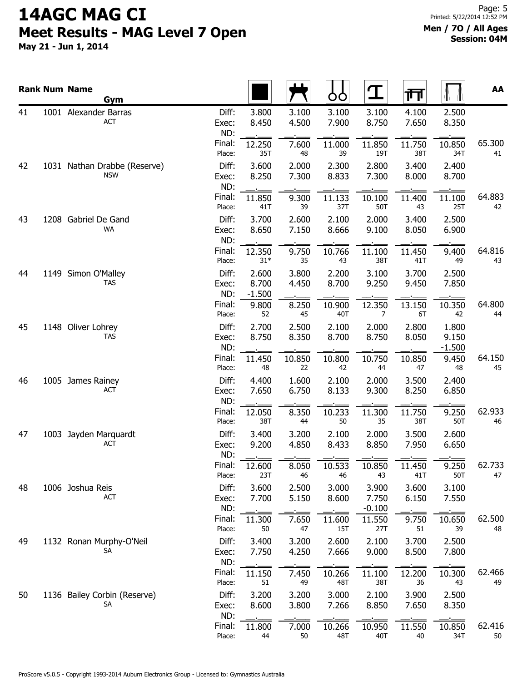|    | <b>Rank Num Name</b><br>Gym                |                       |                            |                | OO             | $\mathbf T$                | 帀              |                            | AA           |
|----|--------------------------------------------|-----------------------|----------------------------|----------------|----------------|----------------------------|----------------|----------------------------|--------------|
| 41 | 1001 Alexander Barras<br><b>ACT</b>        | Diff:<br>Exec:<br>ND: | 3.800<br>8.450             | 3.100<br>4.500 | 3.100<br>7.900 | 3.100<br>8.750             | 4.100<br>7.650 | 2.500<br>8.350             |              |
|    |                                            | Final:<br>Place:      | 12.250<br>35T              | 7.600<br>48    | 11.000<br>39   | 11.850<br>19T              | 11.750<br>38T  | 10.850<br>34T              | 65.300<br>41 |
| 42 | 1031 Nathan Drabbe (Reserve)<br><b>NSW</b> | Diff:<br>Exec:<br>ND: | 3.600<br>8.250             | 2.000<br>7.300 | 2.300<br>8.833 | 2.800<br>7.300             | 3.400<br>8.000 | 2.400<br>8.700             |              |
|    |                                            | Final:<br>Place:      | 11.850<br>41T              | 9.300<br>39    | 11.133<br>37T  | 10.100<br>50T              | 11.400<br>43   | 11.100<br>25T              | 64.883<br>42 |
| 43 | 1208 Gabriel De Gand<br><b>WA</b>          | Diff:<br>Exec:<br>ND: | 3.700<br>8.650             | 2.600<br>7.150 | 2.100<br>8.666 | 2.000<br>9.100             | 3.400<br>8.050 | 2.500<br>6.900             |              |
|    |                                            | Final:<br>Place:      | 12.350<br>$31^{\ast}$      | 9.750<br>35    | 10.766<br>43   | 11.100<br>38T              | 11.450<br>41T  | 9.400<br>49                | 64.816<br>43 |
| 44 | 1149 Simon O'Malley<br>TAS                 | Diff:<br>Exec:<br>ND: | 2.600<br>8.700<br>$-1.500$ | 3.800<br>4.450 | 2.200<br>8.700 | 3.100<br>9.250             | 3.700<br>9.450 | 2.500<br>7.850             |              |
|    |                                            | Final:<br>Place:      | 9.800<br>52                | 8.250<br>45    | 10.900<br>40T  | 12.350<br>7                | 13.150<br>6T   | 10.350<br>42               | 64.800<br>44 |
| 45 | 1148 Oliver Lohrey<br><b>TAS</b>           | Diff:<br>Exec:<br>ND: | 2.700<br>8.750             | 2.500<br>8.350 | 2.100<br>8.700 | 2.000<br>8.750             | 2.800<br>8.050 | 1.800<br>9.150<br>$-1.500$ |              |
|    |                                            | Final:<br>Place:      | 11.450<br>48               | 10.850<br>22   | 10.800<br>42   | 10.750<br>44               | 10.850<br>47   | 9.450<br>48                | 64.150<br>45 |
| 46 | 1005 James Rainey<br><b>ACT</b>            | Diff:<br>Exec:<br>ND: | 4.400<br>7.650             | 1.600<br>6.750 | 2.100<br>8.133 | 2.000<br>9.300             | 3.500<br>8.250 | 2.400<br>6.850             |              |
|    |                                            | Final:<br>Place:      | 12.050<br>38T              | 8.350<br>44    | 10.233<br>50   | 11.300<br>35               | 11.750<br>38T  | 9.250<br>50T               | 62.933<br>46 |
| 47 | 1003 Jayden Marquardt<br><b>ACT</b>        | Diff:<br>Exec:<br>ND: | 3.400<br>9.200             | 3.200<br>4.850 | 2.100<br>8.433 | 2.000<br>8.850             | 3.500<br>7.950 | 2.600<br>6.650             |              |
|    |                                            | Final:<br>Place:      | 12.600<br>23T              | 8.050<br>46    | 10.533<br>46   | 10.850<br>43               | 11.450<br>41T  | 9.250<br>50T               | 62.733<br>47 |
| 48 | 1006 Joshua Reis<br><b>ACT</b>             | Diff:<br>Exec:<br>ND: | 3.600<br>7.700             | 2.500<br>5.150 | 3.000<br>8.600 | 3.900<br>7.750<br>$-0.100$ | 3.600<br>6.150 | 3.100<br>7.550             |              |
|    |                                            | Final:<br>Place:      | 11.300<br>50               | 7.650<br>47    | 11.600<br>15T  | 11.550<br>27T              | 9.750<br>51    | 10.650<br>39               | 62.500<br>48 |
| 49 | 1132 Ronan Murphy-O'Neil<br>SА             | Diff:<br>Exec:<br>ND: | 3.400<br>7.750             | 3.200<br>4.250 | 2.600<br>7.666 | 2.100<br>9.000             | 3.700<br>8.500 | 2.500<br>7.800             |              |
|    |                                            | Final:<br>Place:      | 11.150<br>51               | 7.450<br>49    | 10.266<br>48T  | 11.100<br>38T              | 12.200<br>36   | 10.300<br>43               | 62.466<br>49 |
| 50 | 1136 Bailey Corbin (Reserve)<br>SА         | Diff:<br>Exec:<br>ND: | 3.200<br>8.600             | 3.200<br>3.800 | 3.000<br>7.266 | 2.100<br>8.850             | 3.900<br>7.650 | 2.500<br>8.350             |              |
|    |                                            | Final:<br>Place:      | 11.800<br>44               | 7.000<br>50    | 10.266<br>48T  | 10.950<br>40T              | 11.550<br>40   | 10.850<br>34T              | 62.416<br>50 |